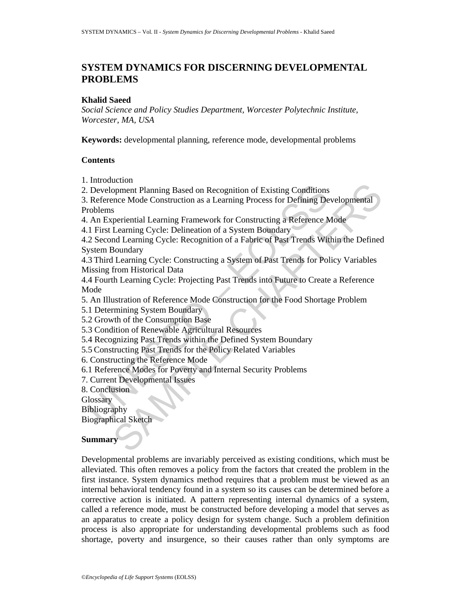# **SYSTEM DYNAMICS FOR DISCERNING DEVELOPMENTAL PROBLEMS**

#### **Khalid Saeed**

*Social Science and Policy Studies Department, Worcester Polytechnic Institute, Worcester, MA, USA* 

**Keywords:** developmental planning, reference mode, developmental problems

### **Contents**

1. Introduction

2. Development Planning Based on Recognition of Existing Conditions

Development Planning Based on Recognition of Existing Conditions<br>
Reference Mode Construction as a Learning Process for Defining De<br>
roblems<br>
An Experiential Learning Framework for Constructing a Reference An<br>
An Experient Example The Manning Based on Recognition of Existing Conditions<br>Spenent Planning Based on Recognition of Existing Cordining Developmental<br>Seriential Learning Framework for Constructing a Reference Mode<br>Learning Cycle: Deli 3. Reference Mode Construction as a Learning Process for Defining Developmental Problems

4. An Experiential Learning Framework for Constructing a Reference Mode

4.1 First Learning Cycle: Delineation of a System Boundary

4.2 Second Learning Cycle: Recognition of a Fabric of Past Trends Within the Defined System Boundary

4.3 Third Learning Cycle: Constructing a System of Past Trends for Policy Variables Missing from Historical Data

4.4 Fourth Learning Cycle: Projecting Past Trends into Future to Create a Reference Mode

5. An Illustration of Reference Mode Construction for the Food Shortage Problem

5.1 Determining System Boundary

5.2 Growth of the Consumption Base

5.3 Condition of Renewable Agricultural Resources

5.4 Recognizing Past Trends within the Defined System Boundary

5.5 Constructing Past Trends for the Policy Related Variables

6. Constructing the Reference Mode

6.1 Reference Modes for Poverty and Internal Security Problems

7. Current Developmental Issues

8. Conclusion

**Glossary** 

Bibliography

Biographical Sketch

### **Summary**

Developmental problems are invariably perceived as existing conditions, which must be alleviated. This often removes a policy from the factors that created the problem in the first instance. System dynamics method requires that a problem must be viewed as an internal behavioral tendency found in a system so its causes can be determined before a corrective action is initiated. A pattern representing internal dynamics of a system, called a reference mode, must be constructed before developing a model that serves as an apparatus to create a policy design for system change. Such a problem definition process is also appropriate for understanding developmental problems such as food shortage, poverty and insurgence, so their causes rather than only symptoms are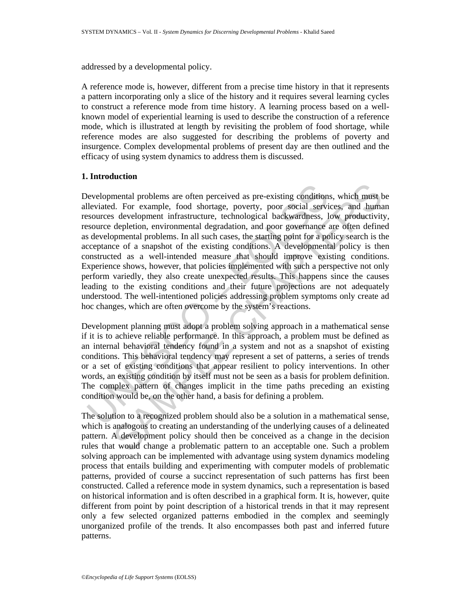addressed by a developmental policy.

A reference mode is, however, different from a precise time history in that it represents a pattern incorporating only a slice of the history and it requires several learning cycles to construct a reference mode from time history. A learning process based on a wellknown model of experiential learning is used to describe the construction of a reference mode, which is illustrated at length by revisiting the problem of food shortage, while reference modes are also suggested for describing the problems of poverty and insurgence. Complex developmental problems of present day are then outlined and the efficacy of using system dynamics to address them is discussed.

#### **1. Introduction**

bevelopmental problems are often perceived as pre-existing condition<br>lleviated. For example, food shortage, poverty, poor social servisources development infrastructure, technological backwardness, l<br>source depletion, envi mental problems are often perceived as pre-existing conditions, which must d. For example, food shortage, poverty, poor social services, and human development infrastructure, technological backwardness, low productivity de Developmental problems are often perceived as pre-existing conditions, which must be alleviated. For example, food shortage, poverty, poor social services, and human resources development infrastructure, technological backwardness, low productivity, resource depletion, environmental degradation, and poor governance are often defined as developmental problems. In all such cases, the starting point for a policy search is the acceptance of a snapshot of the existing conditions. A developmental policy is then constructed as a well-intended measure that should improve existing conditions. Experience shows, however, that policies implemented with such a perspective not only perform variedly, they also create unexpected results. This happens since the causes leading to the existing conditions and their future projections are not adequately understood. The well-intentioned policies addressing problem symptoms only create ad hoc changes, which are often overcome by the system's reactions.

Development planning must adopt a problem solving approach in a mathematical sense if it is to achieve reliable performance. In this approach, a problem must be defined as an internal behavioral tendency found in a system and not as a snapshot of existing conditions. This behavioral tendency may represent a set of patterns, a series of trends or a set of existing conditions that appear resilient to policy interventions. In other words, an existing condition by itself must not be seen as a basis for problem definition. The complex pattern of changes implicit in the time paths preceding an existing condition would be, on the other hand, a basis for defining a problem.

The solution to a recognized problem should also be a solution in a mathematical sense, which is analogous to creating an understanding of the underlying causes of a delineated pattern. A development policy should then be conceived as a change in the decision rules that would change a problematic pattern to an acceptable one. Such a problem solving approach can be implemented with advantage using system dynamics modeling process that entails building and experimenting with computer models of problematic patterns, provided of course a succinct representation of such patterns has first been constructed. Called a reference mode in system dynamics, such a representation is based on historical information and is often described in a graphical form. It is, however, quite different from point by point description of a historical trends in that it may represent only a few selected organized patterns embodied in the complex and seemingly unorganized profile of the trends. It also encompasses both past and inferred future patterns.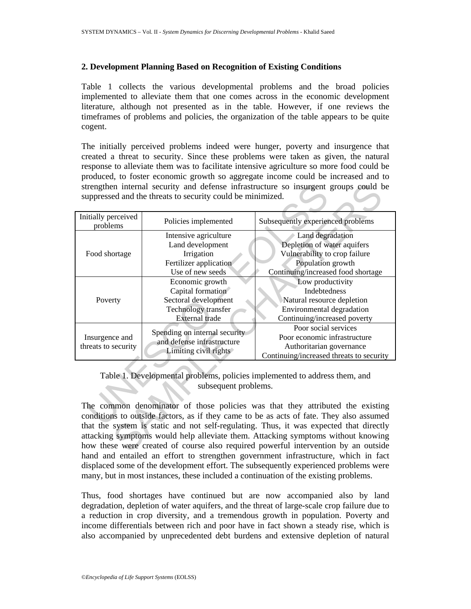#### **2. Development Planning Based on Recognition of Existing Conditions**

Table 1 collects the various developmental problems and the broad policies implemented to alleviate them that one comes across in the economic development literature, although not presented as in the table. However, if one reviews the timeframes of problems and policies, the organization of the table appears to be quite cogent.

The initially perceived problems indeed were hunger, poverty and insurgence that created a threat to security. Since these problems were taken as given, the natural response to alleviate them was to facilitate intensive agriculture so more food could be produced, to foster economic growth so aggregate income could be increased and to strengthen internal security and defense infrastructure so insurgent groups could be suppressed and the threats to security could be minimized.

| strengthen internal security and defense infrastructure so insurgent groups could be<br>suppressed and the threats to security could be minimized.                                                                                                                                                                                                                                                                                                            |                                                                                                              |                                                                                                                                             |
|---------------------------------------------------------------------------------------------------------------------------------------------------------------------------------------------------------------------------------------------------------------------------------------------------------------------------------------------------------------------------------------------------------------------------------------------------------------|--------------------------------------------------------------------------------------------------------------|---------------------------------------------------------------------------------------------------------------------------------------------|
| Initially perceived<br>problems                                                                                                                                                                                                                                                                                                                                                                                                                               | Policies implemented                                                                                         | Subsequently experienced problems                                                                                                           |
| Food shortage                                                                                                                                                                                                                                                                                                                                                                                                                                                 | Intensive agriculture<br>Land development<br>Irrigation<br>Fertilizer application<br>Use of new seeds        | Land degradation<br>Depletion of water aquifers<br>Vulnerability to crop failure<br>Population growth<br>Continuing/increased food shortage |
| Poverty                                                                                                                                                                                                                                                                                                                                                                                                                                                       | Economic growth<br>Capital formation<br>Sectoral development<br><b>Technology</b> transfer<br>External trade | Low productivity<br>Indebtedness<br>Natural resource depletion<br>Environmental degradation<br>Continuing/increased poverty                 |
| Insurgence and<br>threats to security                                                                                                                                                                                                                                                                                                                                                                                                                         | Spending on internal security<br>and defense infrastructure<br>Limiting civil rights                         | Poor social services<br>Poor economic infrastructure<br>Authoritarian governance<br>Continuing/increased threats to security                |
| Table 1. Developmental problems, policies implemented to address them, and<br>subsequent problems.<br>The common denominator of those policies was that they attributed the existing<br>conditions to outside factors, as if they came to be as acts of fate. They also assumed<br>that the system is static and not self-regulating. Thus, it was expected that directly<br>attacking symptoms would help alleviate them. Attacking symptoms without knowing |                                                                                                              |                                                                                                                                             |
| how these were created of course also required powerful intervention by an outside                                                                                                                                                                                                                                                                                                                                                                            |                                                                                                              |                                                                                                                                             |

The common denominator of those policies was that they attributed the existing conditions to outside factors, as if they came to be as acts of fate. They also assumed that the system is static and not self-regulating. Thus, it was expected that directly attacking symptoms would help alleviate them. Attacking symptoms without knowing how these were created of course also required powerful intervention by an outside hand and entailed an effort to strengthen government infrastructure, which in fact displaced some of the development effort. The subsequently experienced problems were many, but in most instances, these included a continuation of the existing problems.

Thus, food shortages have continued but are now accompanied also by land degradation, depletion of water aquifers, and the threat of large-scale crop failure due to a reduction in crop diversity, and a tremendous growth in population. Poverty and income differentials between rich and poor have in fact shown a steady rise, which is also accompanied by unprecedented debt burdens and extensive depletion of natural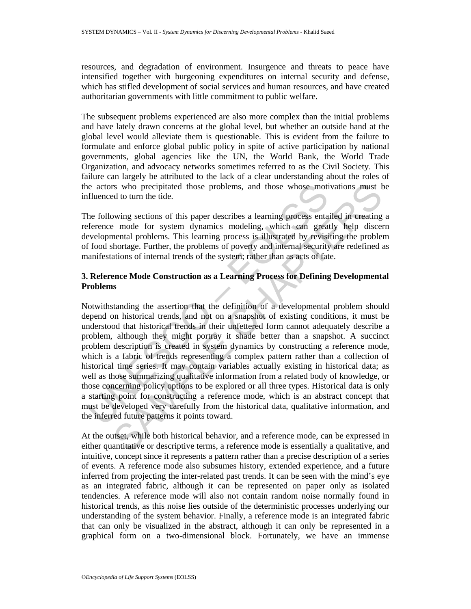resources, and degradation of environment. Insurgence and threats to peace have intensified together with burgeoning expenditures on internal security and defense, which has stifled development of social services and human resources, and have created authoritarian governments with little commitment to public welfare.

The subsequent problems experienced are also more complex than the initial problems and have lately drawn concerns at the global level, but whether an outside hand at the global level would alleviate them is questionable. This is evident from the failure to formulate and enforce global public policy in spite of active participation by national governments, global agencies like the UN, the World Bank, the World Trade Organization, and advocacy networks sometimes referred to as the Civil Society. This failure can largely be attributed to the lack of a clear understanding about the roles of the actors who precipitated those problems, and those whose motivations must be influenced to turn the tide.

The following sections of this paper describes a learning process entailed in creating a reference mode for system dynamics modeling, which can greatly help discern developmental problems. This learning process is illustrated by revisiting the problem of food shortage. Further, the problems of poverty and internal security are redefined as manifestations of internal trends of the system; rather than as acts of fate.

# **3. Reference Mode Construction as a Learning Process for Defining Developmental Problems**

is a complement of the series and those states whose motifluenced to turn the tide.<br>
the following sections of this paper describes a learning process entate<br>
ference mode for system dynamics modeling, which can great<br>
eve Is who precipitated those problems, and those whose motivations must be do turn the tide.<br>
wing sections of this paper describes a learning process entailed in creating<br>
enode for system dynamics modeling, which can greatl Notwithstanding the assertion that the definition of a developmental problem should depend on historical trends, and not on a snapshot of existing conditions, it must be understood that historical trends in their unfettered form cannot adequately describe a problem, although they might portray it shade better than a snapshot. A succinct problem description is created in system dynamics by constructing a reference mode, which is a fabric of trends representing a complex pattern rather than a collection of historical time series. It may contain variables actually existing in historical data; as well as those summarizing qualitative information from a related body of knowledge, or those concerning policy options to be explored or all three types. Historical data is only a starting point for constructing a reference mode, which is an abstract concept that must be developed very carefully from the historical data, qualitative information, and the inferred future patterns it points toward.

At the outset, while both historical behavior, and a reference mode, can be expressed in either quantitative or descriptive terms, a reference mode is essentially a qualitative, and intuitive, concept since it represents a pattern rather than a precise description of a series of events. A reference mode also subsumes history, extended experience, and a future inferred from projecting the inter-related past trends. It can be seen with the mind's eye as an integrated fabric, although it can be represented on paper only as isolated tendencies. A reference mode will also not contain random noise normally found in historical trends, as this noise lies outside of the deterministic processes underlying our understanding of the system behavior. Finally, a reference mode is an integrated fabric that can only be visualized in the abstract, although it can only be represented in a graphical form on a two-dimensional block. Fortunately, we have an immense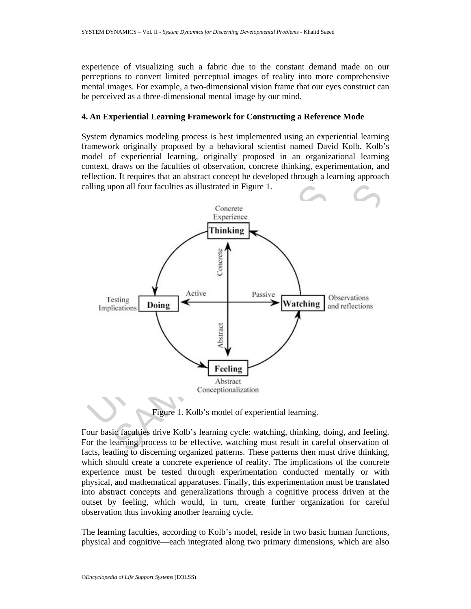experience of visualizing such a fabric due to the constant demand made on our perceptions to convert limited perceptual images of reality into more comprehensive mental images. For example, a two-dimensional vision frame that our eyes construct can be perceived as a three-dimensional mental image by our mind.

#### **4. An Experiential Learning Framework for Constructing a Reference Mode**

System dynamics modeling process is best implemented using an experiential learning framework originally proposed by a behavioral scientist named David Kolb. Kolb's model of experiential learning, originally proposed in an organizational learning context, draws on the faculties of observation, concrete thinking, experimentation, and reflection. It requires that an abstract concept be developed through a learning approach calling upon all four faculties as illustrated in Figure 1.



Figure 1. Kolb's model of experiential learning.

Four basic faculties drive Kolb's learning cycle: watching, thinking, doing, and feeling. For the learning process to be effective, watching must result in careful observation of facts, leading to discerning organized patterns. These patterns then must drive thinking, which should create a concrete experience of reality. The implications of the concrete experience must be tested through experimentation conducted mentally or with physical, and mathematical apparatuses. Finally, this experimentation must be translated into abstract concepts and generalizations through a cognitive process driven at the outset by feeling, which would, in turn, create further organization for careful observation thus invoking another learning cycle.

The learning faculties, according to Kolb's model, reside in two basic human functions, physical and cognitive—each integrated along two primary dimensions, which are also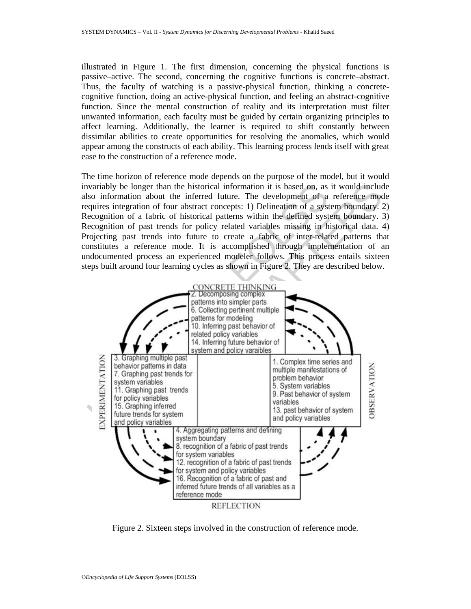illustrated in Figure 1. The first dimension, concerning the physical functions is passive–active. The second, concerning the cognitive functions is concrete–abstract. Thus, the faculty of watching is a passive-physical function, thinking a concretecognitive function, doing an active-physical function, and feeling an abstract-cognitive function. Since the mental construction of reality and its interpretation must filter unwanted information, each faculty must be guided by certain organizing principles to affect learning. Additionally, the learner is required to shift constantly between dissimilar abilities to create opportunities for resolving the anomalies, which would appear among the constructs of each ability. This learning process lends itself with great ease to the construction of a reference mode.

The time horizon of reference mode depends on the purpose of the model, but it would invariably be longer than the historical information it is based on, as it would include also information about the inferred future. The development of a reference mode requires integration of four abstract concepts: 1) Delineation of a system boundary. 2) Recognition of a fabric of historical patterns within the defined system boundary. 3) Recognition of past trends for policy related variables missing in historical data. 4) Projecting past trends into future to create a fabric of inter-related patterns that constitutes a reference mode. It is accomplished through implementation of an undocumented process an experienced modeler follows. This process entails sixteen steps built around four learning cycles as shown in Figure 2. They are described below.



Figure 2. Sixteen steps involved in the construction of reference mode.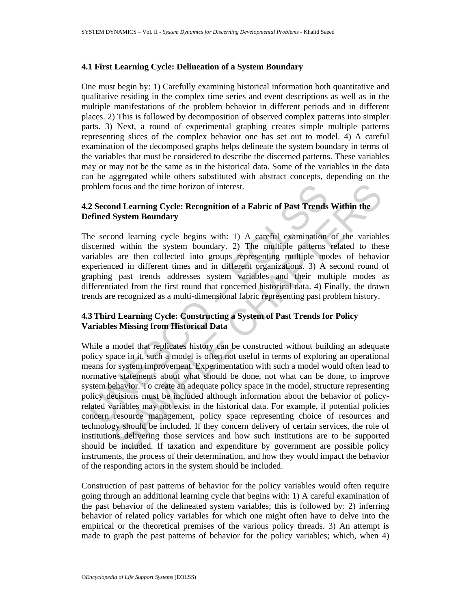#### **4.1 First Learning Cycle: Delineation of a System Boundary**

One must begin by: 1) Carefully examining historical information both quantitative and qualitative residing in the complex time series and event descriptions as well as in the multiple manifestations of the problem behavior in different periods and in different places. 2) This is followed by decomposition of observed complex patterns into simpler parts. 3) Next, a round of experimental graphing creates simple multiple patterns representing slices of the complex behavior one has set out to model. 4) A careful examination of the decomposed graphs helps delineate the system boundary in terms of the variables that must be considered to describe the discerned patterns. These variables may or may not be the same as in the historical data. Some of the variables in the data can be aggregated while others substituted with abstract concepts, depending on the problem focus and the time horizon of interest.

## **4.2 Second Learning Cycle: Recognition of a Fabric of Past Trends Within the Defined System Boundary**

The second learning cycle begins with: 1) A careful examination of the variables discerned within the system boundary. 2) The multiple patterns related to these variables are then collected into groups representing multiple modes of behavior experienced in different times and in different organizations. 3) A second round of graphing past trends addresses system variables and their multiple modes as differentiated from the first round that concerned historical data. 4) Finally, the drawn trends are recognized as a multi-dimensional fabric representing past problem history.

# **4.3 Third Learning Cycle: Constructing a System of Past Trends for Policy Variables Missing from Historical Data**

roblem focus and the time horizon of interest.<br>
2 Second Learning Cycle: Recognition of a Fabric of Past Trends<br>
effined System Boundary<br>
he second learning cycle begins with: 1) A careful examination<br>
iscerned within the focus and the time horizon of interest.<br> **nd Learning Cycle: Recognition of a Fabric of Past Trends Within the**<br> **System Boundary**<br> **nd learning cycle begins with:** 1) A careful examination of the variable<br>
1 within the sy While a model that replicates history can be constructed without building an adequate policy space in it, such a model is often not useful in terms of exploring an operational means for system improvement. Experimentation with such a model would often lead to normative statements about what should be done, not what can be done, to improve system behavior. To create an adequate policy space in the model, structure representing policy decisions must be included although information about the behavior of policyrelated variables may not exist in the historical data. For example, if potential policies concern resource management, policy space representing choice of resources and technology should be included. If they concern delivery of certain services, the role of institutions delivering those services and how such institutions are to be supported should be included. If taxation and expenditure by government are possible policy instruments, the process of their determination, and how they would impact the behavior of the responding actors in the system should be included.

Construction of past patterns of behavior for the policy variables would often require going through an additional learning cycle that begins with: 1) A careful examination of the past behavior of the delineated system variables; this is followed by: 2) inferring behavior of related policy variables for which one might often have to delve into the empirical or the theoretical premises of the various policy threads. 3) An attempt is made to graph the past patterns of behavior for the policy variables; which, when 4)